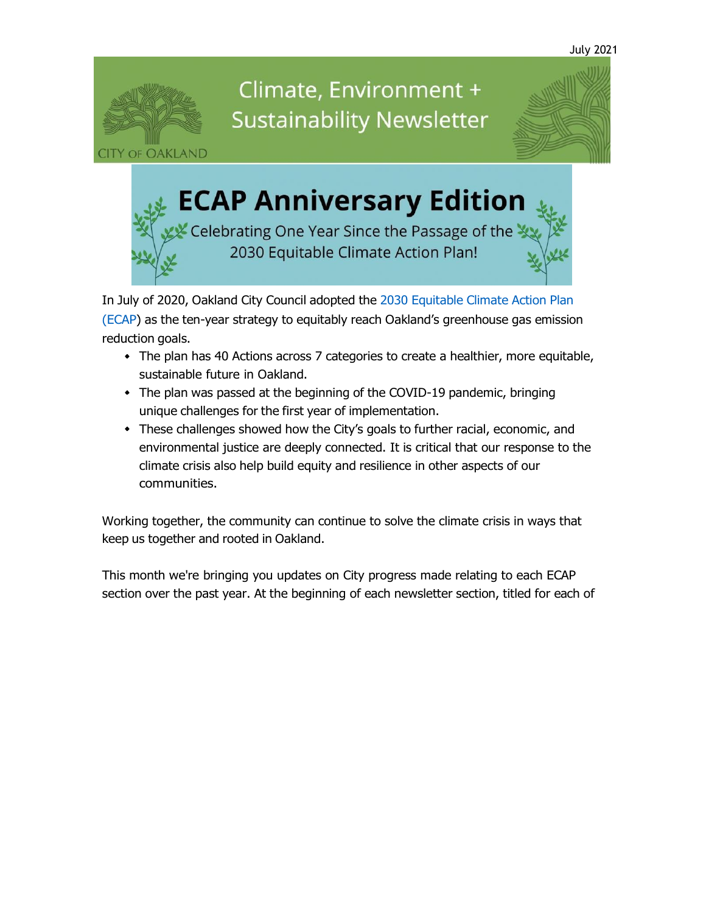

# Climate, Environment + **Sustainability Newsletter**



# **ECAP Anniversary Edition**

Celebrating One Year Since the Passage of the 2030 Equitable Climate Action Plan!

In July of 2020, Oakland City Council adopted the 2030 [Equitable](https://oaklandca19202.lt.acemlna.com/Prod/link-tracker?notrack=1&redirectUrl=aHR0cHMlM0ElMkYlMkZ3d3cub2FrbGFuZGNhLmdvdiUyRnByb2plY3RzJTJGMjAzMGVjYXA%3D&sig=8NxmbkCDPsqBowCf5kaGUdtUvzU7JYqjnPwFEHM5oEoK&iat=1632344181&a=799335011&account=oaklandca19202%2Eactivehosted%2Ecom&email=LRRV6glqIfcVPcYsJBrMHi%2FZD%2BmsUFpJrc5fHf6IoVE%3D&s=bad97c655476f96a390a72c05a742011&i=893A884A11A14097) Climate Action Plan (ECAP) as the ten-year strategy to equitably reach Oakland's [greenhouse](https://oaklandca19202.lt.acemlna.com/Prod/link-tracker?notrack=1&redirectUrl=aHR0cHMlM0ElMkYlMkZ3d3cub2FrbGFuZGNhLmdvdiUyRnByb2plY3RzJTJGMjAzMGVjYXA%3D&sig=8NxmbkCDPsqBowCf5kaGUdtUvzU7JYqjnPwFEHM5oEoK&iat=1632344181&a=799335011&account=oaklandca19202%2Eactivehosted%2Ecom&email=LRRV6glqIfcVPcYsJBrMHi%2FZD%2BmsUFpJrc5fHf6IoVE%3D&s=bad97c655476f96a390a72c05a742011&i=893A884A11A14097) gas emission reduction goals.

- The plan has 40 Actions across 7 categories to create a healthier, more equitable, sustainable future in Oakland.
- The plan was passed at the beginning of the COVID-19 pandemic, bringing unique challenges for the first year of implementation.
- These challenges showed how the City's goals to further racial, economic, and environmental justice are deeply connected. It is critical that our response to the climate crisis also help build equity and resilience in other aspects of our communities.

Working together, the community can continue to solve the climate crisis in ways that keep us together and rooted in Oakland.

This month we're bringing you updates on City progress made relating to each ECAP section over the past year. At the beginning of each newsletter section, titled for each of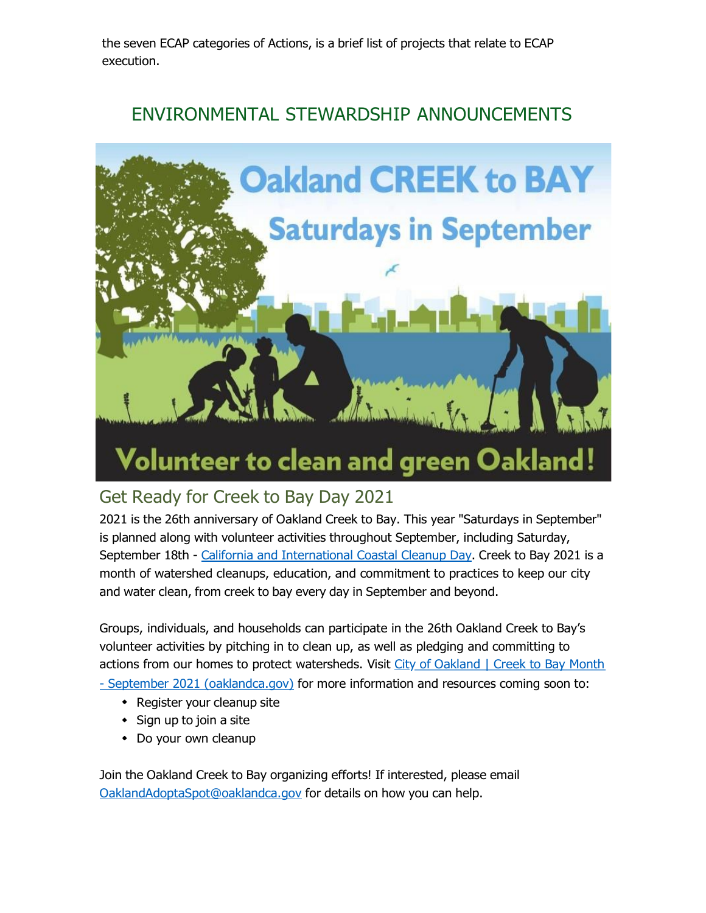the seven ECAP categories of Actions, is a brief list of projects that relate to ECAP execution.

### ENVIRONMENTAL STEWARDSHIP ANNOUNCEMENTS



### Get Ready for Creek to Bay Day 2021

2021 is the 26th anniversary of Oakland Creek to Bay. This year "Saturdays in September" is planned along with volunteer activities throughout September, including Saturday, September 18th - California and [International](https://oaklandca19202.lt.acemlna.com/Prod/link-tracker?notrack=1&redirectUrl=aHR0cHMlM0ElMkYlMkZ3d3cuY29hc3RhbC5jYS5nb3YlMkZwdWJsaWNlZCUyRmNjZCUyRmNjZC5odG1s&sig=4dETxF99RbiyBrQVnPsF6fNM1as45VW7SWAToKg8pexf&iat=1632344181&a=799335011&account=oaklandca19202%2Eactivehosted%2Ecom&email=LRRV6glqIfcVPcYsJBrMHi%2FZD%2BmsUFpJrc5fHf6IoVE%3D&s=bad97c655476f96a390a72c05a742011&i=893A884A11A14586) Coastal Cleanup Day. Creek to Bay 2021 is a month of watershed cleanups, education, and commitment to practices to keep our city and water clean, from creek to bay every day in September and beyond.

Groups, individuals, and households can participate in the 26th Oakland Creek to Bay's volunteer activities by pitching in to clean up, as well as pledging and committing to actions from our homes to protect [watersheds.](https://oaklandca19202.lt.acemlna.com/Prod/link-tracker?notrack=1&redirectUrl=aHR0cHMlM0ElMkYlMkZ3d3cub2FrbGFuZGNhLmdvdiUyRnRvcGljcyUyRmNyZWVrLXRvLWJheQ%3D%3D&sig=2hyYMHDPZX9e1B9kdfZ7LceakBBi4m51DUbdyY1ZUm9y&iat=1632344181&a=799335011&account=oaklandca19202%2Eactivehosted%2Ecom&email=LRRV6glqIfcVPcYsJBrMHi%2FZD%2BmsUFpJrc5fHf6IoVE%3D&s=bad97c655476f96a390a72c05a742011&i=893A884A11A14587) Visit City of Oakland | Creek to Bay Month - September 2021 [\(oaklandca.gov\)](https://oaklandca19202.lt.acemlna.com/Prod/link-tracker?notrack=1&redirectUrl=aHR0cHMlM0ElMkYlMkZ3d3cub2FrbGFuZGNhLmdvdiUyRnRvcGljcyUyRmNyZWVrLXRvLWJheQ%3D%3D&sig=2hyYMHDPZX9e1B9kdfZ7LceakBBi4m51DUbdyY1ZUm9y&iat=1632344181&a=799335011&account=oaklandca19202%2Eactivehosted%2Ecom&email=LRRV6glqIfcVPcYsJBrMHi%2FZD%2BmsUFpJrc5fHf6IoVE%3D&s=bad97c655476f96a390a72c05a742011&i=893A884A11A14587) for more information and resources coming soon to:

- - Register your cleanup site
	- Sign up to join a site
	- Do your own cleanup

Join the Oakland Creek to Bay organizing efforts! If interested, please email [OaklandAdoptaSpot@oaklandca.gov](mailto:OaklandAdoptaSpot@oaklandca.gov) for details on how you can help.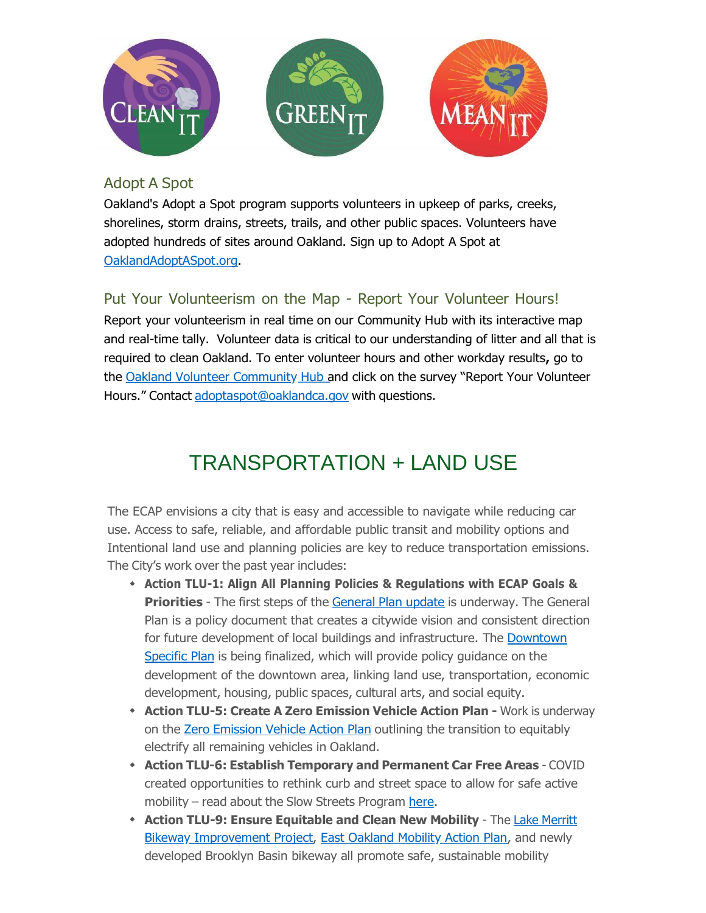

#### Adopt A Spot

Oakland's Adopt a Spot program supports volunteers in upkeep of parks, creeks, shorelines, storm drains, streets, trails, and other public spaces. Volunteers have adopted hundreds of sites around Oakland. Sign up to Adopt A Spot at [OaklandAdoptASpot.org.](https://oaklandca19202.lt.acemlna.com/Prod/link-tracker?notrack=1&redirectUrl=aHR0cHMlM0ElMkYlMkZ3d3cub2FrbGFuZGNhLmdvdiUyRnNlcnZpY2VzJTJGYXBwbHktZm9yLWFkb3B0LWEtc3BvdC1vbmxpbmU%3D&sig=HUv6cAzdAq9EuLy3nd8BBg9h7qxVuprGka1q2yJ2DTXV&iat=1632344181&a=799335011&account=oaklandca19202%2Eactivehosted%2Ecom&email=LRRV6glqIfcVPcYsJBrMHi%2FZD%2BmsUFpJrc5fHf6IoVE%3D&s=bad97c655476f96a390a72c05a742011&i=893A884A11A14444)

### Put Your Volunteerism on the Map - Report Your Volunteer Hours!

Report your volunteerism in real time on our Community Hub with its interactive map and real-time tally. Volunteer data is critical to our understanding of litter and all that is required to clean Oakland. To enter volunteer hours and other workday results**,** go to the [Oakland Volunteer Community Hub](https://oaklandca19202.lt.acemlna.com/Prod/link-tracker?notrack=1&redirectUrl=aHR0cHMlM0ElMkYlMkZ1cmxkZWZlbnNlLnByb29mcG9pbnQuY29tJTJGdjIlMkZ1cmwlM0Z1JTNEaHR0cHMtM0FfX29ha2xhbmRjYTE5MjAyLmx0LmFjZW1sbmEuY29tX1Byb2RfbGluay0yRHRyYWNrZXItM0ZyZWRpcmVjdFVybC0zRGFIUjBjSE1sTTBFbE1rWWxNa1oxY214a1pXWmxibk5sTG5CeWIyOW1jRzlwYm5RdVkyOXRKVEpHZGpJbE1rWjFjbXdsTTBaMUpUTkVhSFIwY0hNdE0wRmZYMjloYTJ4aGJtUXRNa1IyYjJ4MWJuUmxaWEl0TWtSamIyMXRkVzVwZEhrdE1rUnZZV3RuYVhNdWFIVmlMbUZ5WTJkcGN5NWpiMjFmY0dGblpYTmZjbVZ3YjNKMExUSkVlVzkxY2kweVJIWnZiSFZ1ZEdWbGNpMHlSSEpsYzNWc2RITWxNalprSlRORVJIZE5SbUZSSlRJMll5VXpSRFphWW05TFpFcDZVamh1V2s5eGQwSnFhRkJ1UTNjbE1qWnlKVE5FUm1KQmFtMUJZMk00ZDNsblJVWnFhMEZPUlRBeFRHODFXa2xJYWswd1MyZzRSR2RKTWtKeFRpMDRkeVV5Tm0wbE0wUlplVEUwWDFwUmExVk9kbWhGZVhKb1RFOXFjRnBaVFhwNVZsSlJWQzFmTlVGM1duSjJSVzFwTjNaakpUSTJjeVV6UkhGVmEweDBVVzFLVUhKbFN6QlNaV3hHUkc5U1MxTXRaMjVoTmtSUVJ6SmFSblV6VjNGQ1VVaHNVREFsTWpabEpUTkUtMjZhLTNENzk5MzM1MDExLTI2YWNjb3VudC0zRG9ha2xhbmRjYTE5MjAyLTI1MkVhY3RpdmVob3N0ZWQtMjUyRWNvbS0yNmVtYWlsLTNEd2pFODhodW1qOGJlYnBqRHZ2T0NRUVlnZmZFaFRZYUoxNmRmamgyUnFkMThCYUtnNVRCelpzcXV1WHhpM2JuNS0yNnMtM0RjMTBlMDMxZDliN2U5YmJhOTlhNDc4YmY0ZGRhZTM3Zi0yNmktM0Q4NDFBODM0QTExQTEzMTQwJTI2ZCUzRER3TUZhUSUyNmMlM0Q2WmJvS2RKelI4blpPcXdCamhQbkN3JTI2ciUzRHdBVDRkb09Jd29RaFVpTWZjR3ZwZ1dDYnRvcGJKNjIzb2lKUFFKdm05em9yTkRxcjRIQkh1YTdMaTVXcXN1M2klMjZtJTNETkxxX01OUS16d05Yd3NJMkZJcTdfQ0huSWozY19JV3JnUkNnRG5QY0F3YyUyNnMlM0R4NDlhMEtzZGs3WUlHamoyY0RILVE1STJzV0pCbDY3SnA3RmdIMHRsMTFnJTI2ZSUzRA%3D%3D&sig=D8VyvbFbgBHQKidJFJzKoAFfe3jGNhWphAHEeLQyf8pM&iat=1632344181&a=799335011&account=oaklandca19202%2Eactivehosted%2Ecom&email=LRRV6glqIfcVPcYsJBrMHi%2FZD%2BmsUFpJrc5fHf6IoVE%3D&s=bad97c655476f96a390a72c05a742011&i=893A884A11A14445) and click on the survey "Report Your Volunteer Hours." Contact [adoptaspot@oaklandca.gov](mailto:adoptaspot@oaklandca.gov) with questions.

# TRANSPORTATION + LAND USE

The ECAP envisions a city that is easy and accessible to navigate while reducing car use. Access to safe, reliable, and affordable public transit and mobility options and Intentional land use and planning policies are key to reduce transportation emissions. The City's work over the past year includes:

- **Action TLU-1: Align All Planning Policies & Regulations with ECAP Goals & Priorities** - The first steps of the [General](https://oaklandca19202.lt.acemlna.com/Prod/link-tracker?notrack=1&redirectUrl=aHR0cHMlM0ElMkYlMkZ3d3cub2FrbGFuZGNhLmdvdiUyRnRvcGljcyUyRmdlbmVyYWwtcGxhbi11cGRhdGU%3D&sig=GUYkuw79aUeaCH3xGxmysrm4yJhWKGxEV4RJenNQe659&iat=1632344181&a=799335011&account=oaklandca19202%2Eactivehosted%2Ecom&email=LRRV6glqIfcVPcYsJBrMHi%2FZD%2BmsUFpJrc5fHf6IoVE%3D&s=bad97c655476f96a390a72c05a742011&i=893A884A11A14411) Plan update is underway. The General Plan is a policy document that creates a citywide vision and consistent direction for future development of local buildings and [infrastructure.](https://oaklandca19202.lt.acemlna.com/Prod/link-tracker?notrack=1&redirectUrl=aHR0cHMlM0ElMkYlMkZ3d3cub2FrbGFuZGNhLmdvdiUyRnRvcGljcyUyRmRvd250b3duLW9ha2xhbmQtc3BlY2lmaWMtcGxhbg%3D%3D&sig=FQ7hDT2i8UzdsXksVsAmL65xKGKi4EL232BdMCddwjRt&iat=1632344181&a=799335011&account=oaklandca19202%2Eactivehosted%2Ecom&email=LRRV6glqIfcVPcYsJBrMHi%2FZD%2BmsUFpJrc5fHf6IoVE%3D&s=bad97c655476f96a390a72c05a742011&i=893A884A11A14412) The Downtown Specific Plan is being finalized, which will provide policy [guidance](https://oaklandca19202.lt.acemlna.com/Prod/link-tracker?notrack=1&redirectUrl=aHR0cHMlM0ElMkYlMkZ3d3cub2FrbGFuZGNhLmdvdiUyRnRvcGljcyUyRmRvd250b3duLW9ha2xhbmQtc3BlY2lmaWMtcGxhbg%3D%3D&sig=FQ7hDT2i8UzdsXksVsAmL65xKGKi4EL232BdMCddwjRt&iat=1632344181&a=799335011&account=oaklandca19202%2Eactivehosted%2Ecom&email=LRRV6glqIfcVPcYsJBrMHi%2FZD%2BmsUFpJrc5fHf6IoVE%3D&s=bad97c655476f96a390a72c05a742011&i=893A884A11A14412) on the development of the downtown area, linking land use, transportation, economic development, housing, public spaces, cultural arts, and social equity.
- **Action TLU-5: Create A Zero Emission Vehicle Action Plan -** Work is underway on the Zero [Emission](https://oaklandca19202.lt.acemlna.com/Prod/link-tracker?notrack=1&redirectUrl=aHR0cHMlM0ElMkYlMkZ3d3cub2FrbGFuZGNhLmdvdiUyRnByb2plY3RzJTJGemVyby1lbWlzc2lvbi12ZWhpY2xlLWFjdGlvbi1wbGFu&sig=2yNvYAnMLVQGjwZqKxEnRNJMex4LK2CkfNUF2FkbDVgY&iat=1632344181&a=799335011&account=oaklandca19202%2Eactivehosted%2Ecom&email=LRRV6glqIfcVPcYsJBrMHi%2FZD%2BmsUFpJrc5fHf6IoVE%3D&s=bad97c655476f96a390a72c05a742011&i=893A884A11A14413) Vehicle Action Plan outlining the transition to equitably electrify all remaining vehicles in Oakland.
- **Action TLU-6: Establish Temporary and Permanent Car Free Areas** COVID created opportunities to rethink curb and street space to allow for safe active mobility – read about the Slow Streets Program [here.](https://oaklandca19202.lt.acemlna.com/Prod/link-tracker?notrack=1&redirectUrl=aHR0cHMlM0ElMkYlMkZ3d3cub2FrbGFuZGNhLmdvdiUyRnByb2plY3RzJTJGb2FrbGFuZC1zbG93LXN0cmVldHM%3D&sig=8QkipBGueCc9LNoMTQH8tiFcKuRchNk8Q7VXF2DSLcfC&iat=1632344181&a=799335011&account=oaklandca19202%2Eactivehosted%2Ecom&email=LRRV6glqIfcVPcYsJBrMHi%2FZD%2BmsUFpJrc5fHf6IoVE%3D&s=bad97c655476f96a390a72c05a742011&i=893A884A11A14414)
- **Action TLU-9: Ensure [Equitable](https://oaklandca19202.lt.acemlna.com/Prod/link-tracker?notrack=1&redirectUrl=aHR0cHMlM0ElMkYlMkZ3d3cub2FrbGFuZGNhLmdvdiUyRnByb2plY3RzJTJGbGFrZS1tZXJyaXR0LWJpa2V3YXk%3D&sig=3iRghD7prJziyZZFDxmr893UM9EBJ1WrnXjS9xusmjLP&iat=1632344181&a=799335011&account=oaklandca19202%2Eactivehosted%2Ecom&email=LRRV6glqIfcVPcYsJBrMHi%2FZD%2BmsUFpJrc5fHf6IoVE%3D&s=bad97c655476f96a390a72c05a742011&i=893A884A11A14415) and Clean New Mobility** The Lake Merritt [Bikeway Improvement Project,](https://oaklandca19202.lt.acemlna.com/Prod/link-tracker?notrack=1&redirectUrl=aHR0cHMlM0ElMkYlMkZ3d3cub2FrbGFuZGNhLmdvdiUyRnByb2plY3RzJTJGbGFrZS1tZXJyaXR0LWJpa2V3YXk%3D&sig=3iRghD7prJziyZZFDxmr893UM9EBJ1WrnXjS9xusmjLP&iat=1632344181&a=799335011&account=oaklandca19202%2Eactivehosted%2Ecom&email=LRRV6glqIfcVPcYsJBrMHi%2FZD%2BmsUFpJrc5fHf6IoVE%3D&s=bad97c655476f96a390a72c05a742011&i=893A884A11A14415) [East Oakland Mobility Action Plan](https://oaklandca19202.lt.acemlna.com/Prod/link-tracker?notrack=1&redirectUrl=aHR0cHMlM0ElMkYlMkZ3d3cub2FrbGFuZGNhLmdvdiUyRnByb2plY3RzJTJGZWFzdG9ha21hcA%3D%3D&sig=9nqisWQgrseSQqRDaaSGiH1xRgGgm6vLTZYQ8uVaqFrH&iat=1632344181&a=799335011&account=oaklandca19202%2Eactivehosted%2Ecom&email=LRRV6glqIfcVPcYsJBrMHi%2FZD%2BmsUFpJrc5fHf6IoVE%3D&s=bad97c655476f96a390a72c05a742011&i=893A884A11A14416)[, and newly](https://oaklandca19202.lt.acemlna.com/Prod/link-tracker?notrack=1&redirectUrl=aHR0cHMlM0ElMkYlMkZ3d3cub2FrbGFuZGNhLmdvdiUyRnByb2plY3RzJTJGbGFrZS1tZXJyaXR0LWJpa2V3YXk%3D&sig=3iRghD7prJziyZZFDxmr893UM9EBJ1WrnXjS9xusmjLP&iat=1632344181&a=799335011&account=oaklandca19202%2Eactivehosted%2Ecom&email=LRRV6glqIfcVPcYsJBrMHi%2FZD%2BmsUFpJrc5fHf6IoVE%3D&s=bad97c655476f96a390a72c05a742011&i=893A884A11A14415) developed Brooklyn Basin bikeway all promote safe, sustainable mobility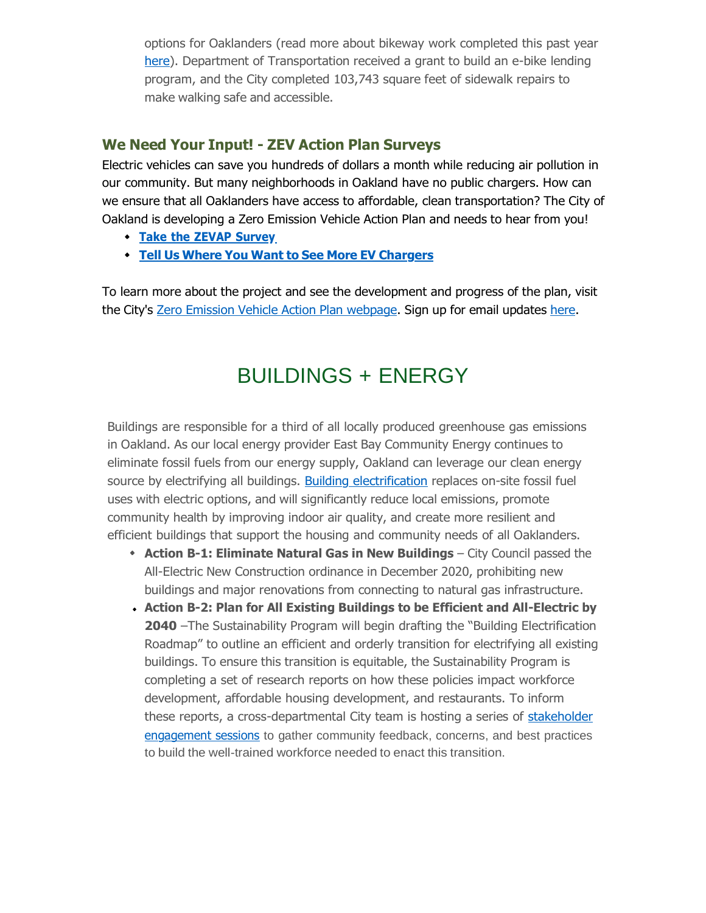options for Oaklanders (read more about bikeway work completed this past year [here\)](https://oaklandca19202.lt.acemlna.com/Prod/link-tracker?notrack=1&redirectUrl=aHR0cHMlM0ElMkYlMkZjYW8tOTQ2MTIuczMuYW1hem9uYXdzLmNvbSUyRmRvY3VtZW50cyUyRldlLUJpa2UtV2ludGVyMjAyMS5wZGY%3D&sig=CU7i14zQSN5ocg5ZbDuN4SmUJWbtZun5gvpPAd6ZJbJh&iat=1632344181&a=799335011&account=oaklandca19202%2Eactivehosted%2Ecom&email=LRRV6glqIfcVPcYsJBrMHi%2FZD%2BmsUFpJrc5fHf6IoVE%3D&s=bad97c655476f96a390a72c05a742011&i=893A884A11A14417). Department of Transportation received a grant to build an e-bike lending program, and the City completed 103,743 square feet of sidewalk repairs to make walking safe and accessible.

#### **We Need Your Input! - ZEV Action Plan Surveys**

Electric vehicles can save you hundreds of dollars a month while reducing air pollution in our community. But many neighborhoods in Oakland have no public chargers. How can we ensure that all Oaklanders have access to affordable, clean transportation? The City of Oakland is developing a Zero Emission Vehicle Action Plan and needs to hear from you!

- **Take the ZEVAP [Survey](https://oaklandca19202.lt.acemlna.com/Prod/link-tracker?notrack=1&redirectUrl=aHR0cHMlM0ElMkYlMkZvYWtsYW5kY2EuZm9ybXN0YWNrLmNvbSUyRmZvcm1zJTJGemVyb19lbWlzc2lvbl92ZWhpY2xlX2FjdGlvbl9wbGFuX3N1cnZleV9kcmFmdA%3D%3D&sig=fAcVFB9Lr6VdoVgVAJucuMYnvk7fXAmELCmLsbpPTJz&iat=1632344181&a=799335011&account=oaklandca19202%2Eactivehosted%2Ecom&email=LRRV6glqIfcVPcYsJBrMHi%2FZD%2BmsUFpJrc5fHf6IoVE%3D&s=bad97c655476f96a390a72c05a742011&i=893A884A11A14418)**
- **Tell Us Where You Want to See More EV [Chargers](https://oaklandca19202.lt.acemlna.com/Prod/link-tracker?notrack=1&redirectUrl=aHR0cHMlM0ElMkYlMkZ3d3cub2FrbGFuZGNhLmdvdiUyRnNlcnZpY2VzJTJGemVyby1lbWlzc2lvbi12ZWhpY2xlLWFjdGlvbi1wbGFuLWludGVyYWN0aXZlLW1hcA%3D%3D&sig=AXBmzEhZduKsESgmhEEq67YVrS2uWoowyKGP4aipjABr&iat=1632344181&a=799335011&account=oaklandca19202%2Eactivehosted%2Ecom&email=LRRV6glqIfcVPcYsJBrMHi%2FZD%2BmsUFpJrc5fHf6IoVE%3D&s=bad97c655476f96a390a72c05a742011&i=893A884A11A14419)**

To learn more about the project and see the development and progress of the plan, visit the City's Zero Emission Vehicle Action Plan [webpage.](https://oaklandca19202.lt.acemlna.com/Prod/link-tracker?notrack=1&redirectUrl=aHR0cHMlM0ElMkYlMkZ3d3cub2FrbGFuZGNhLmdvdiUyRnByb2plY3RzJTJGemVyby1lbWlzc2lvbi12ZWhpY2xlLWFjdGlvbi1wbGFu&sig=2yNvYAnMLVQGjwZqKxEnRNJMex4LK2CkfNUF2FkbDVgY&iat=1632344181&a=799335011&account=oaklandca19202%2Eactivehosted%2Ecom&email=LRRV6glqIfcVPcYsJBrMHi%2FZD%2BmsUFpJrc5fHf6IoVE%3D&s=bad97c655476f96a390a72c05a742011&i=893A884A11A14413) Sign up for email updates [here.](https://oaklandca19202.lt.acemlna.com/Prod/link-tracker?notrack=1&redirectUrl=aHR0cHMlM0ElMkYlMkZ1cmxkZWZlbnNlLnByb29mcG9pbnQuY29tJTJGdjIlMkZ1cmwlM0Z1JTNEaHR0cHMtM0FfX29ha2xhbmRjYS5mb3Jtc3RhY2suY29tX2Zvcm1zX3pldi01RmFjdGlvbi01RnBsYW4tNUZlbWFpbC01Rmxpc3QlMjZkJTNERHdNRmFRJTI2YyUzRDZaYm9LZEp6UjhuWk9xd0JqaFBuQ3clMjZyJTNEZHlDenVMRHhBczRKSTFWcVVYZk9xOTN4Ujl1bkU2amQ5UHB3aUoxYU9wOCUyNm0lM0Rpa1FEMHRKUjRtYXlWcTNwM0RIZ1FsYmpWQ2NHOUh2d0pfTlhha0ctQWhrJTI2cyUzRFhxa201ZnRpTUliZy1aVGl2U2p1azlxaVpmVTFEOXR3ZDlUX2d4TEl4cTglMjZlJTNE&sig=Awf3AiPEmByQKbviaWbGpYftFPcbsVKJN8QwZ1cYQ4Ax&iat=1632344181&a=799335011&account=oaklandca19202%2Eactivehosted%2Ecom&email=LRRV6glqIfcVPcYsJBrMHi%2FZD%2BmsUFpJrc5fHf6IoVE%3D&s=bad97c655476f96a390a72c05a742011&i=893A884A11A14420)

# BUILDINGS + ENERGY

Buildings are responsible for a third of all locally produced greenhouse gas emissions in Oakland. As our local energy provider East Bay Community Energy continues to eliminate fossil fuels from our energy supply, Oakland can leverage our clean energy source by electrifying all buildings. Building [electrification](https://oaklandca19202.lt.acemlna.com/Prod/link-tracker?notrack=1&redirectUrl=aHR0cHMlM0ElMkYlMkZ3d3cub2FrbGFuZGNhLmdvdiUyRnByb2plY3RzJTJGYnVpbGRpbmctZWxlY3RyaWZpY2F0aW9u&sig=FDEwhwYsY4ZPBkYWV4SBy15BDKXmG5zoynG9w5GVZWuJ&iat=1632344181&a=799335011&account=oaklandca19202%2Eactivehosted%2Ecom&email=LRRV6glqIfcVPcYsJBrMHi%2FZD%2BmsUFpJrc5fHf6IoVE%3D&s=bad97c655476f96a390a72c05a742011&i=893A884A11A14421) replaces on-site fossil fuel uses with electric options, and will significantly reduce local emissions, promote community health by improving indoor air quality, and create more resilient and efficient buildings that support the housing and community needs of all Oaklanders.

- **Action B-1: Eliminate Natural Gas in New Buildings City Council passed the** All-Electric New Construction ordinance in December 2020, prohibiting new buildings and major renovations from connecting to natural gas infrastructure.
- **Action B-2: Plan for All Existing Buildings to be Efficient and All-Electric by 2040** –The Sustainability Program will begin drafting the "Building Electrification Roadmap" to outline an efficient and orderly transition for electrifying all existing buildings. To ensure this transition is equitable, the Sustainability Program is completing a set of research reports on how these policies impact workforce development, affordable housing development, and restaurants. To inform [these reports, a cross-departmental City team is hosting a series of stakeholder](https://oaklandca19202.lt.acemlna.com/Prod/link-tracker?notrack=1&redirectUrl=aHR0cHMlM0ElMkYlMkZ3d3cub2FrbGFuZGNhLmdvdiUyRnByb2plY3RzJTJGdG93YXJkLWEtanVzdC1ncmVlbi1lY29ub215&sig=7RsXF954UA8t4ucTj3YbcHRgpHN7mV1PgkyfxN6omxow&iat=1632344181&a=799335011&account=oaklandca19202%2Eactivehosted%2Ecom&email=LRRV6glqIfcVPcYsJBrMHi%2FZD%2BmsUFpJrc5fHf6IoVE%3D&s=bad97c655476f96a390a72c05a742011&i=893A884A11A14422) [engagement sessions](https://oaklandca19202.lt.acemlna.com/Prod/link-tracker?notrack=1&redirectUrl=aHR0cHMlM0ElMkYlMkZ3d3cub2FrbGFuZGNhLmdvdiUyRnByb2plY3RzJTJGdG93YXJkLWEtanVzdC1ncmVlbi1lY29ub215&sig=7RsXF954UA8t4ucTj3YbcHRgpHN7mV1PgkyfxN6omxow&iat=1632344181&a=799335011&account=oaklandca19202%2Eactivehosted%2Ecom&email=LRRV6glqIfcVPcYsJBrMHi%2FZD%2BmsUFpJrc5fHf6IoVE%3D&s=bad97c655476f96a390a72c05a742011&i=893A884A11A14422) [to gather community feedback, concerns, and best practices](https://oaklandca19202.lt.acemlna.com/Prod/link-tracker?notrack=1&redirectUrl=aHR0cHMlM0ElMkYlMkZ3d3cub2FrbGFuZGNhLmdvdiUyRnByb2plY3RzJTJGdG93YXJkLWEtanVzdC1ncmVlbi1lY29ub215&sig=7RsXF954UA8t4ucTj3YbcHRgpHN7mV1PgkyfxN6omxow&iat=1632344181&a=799335011&account=oaklandca19202%2Eactivehosted%2Ecom&email=LRRV6glqIfcVPcYsJBrMHi%2FZD%2BmsUFpJrc5fHf6IoVE%3D&s=bad97c655476f96a390a72c05a742011&i=893A884A11A14422) to build the well-trained workforce needed to enact this transition.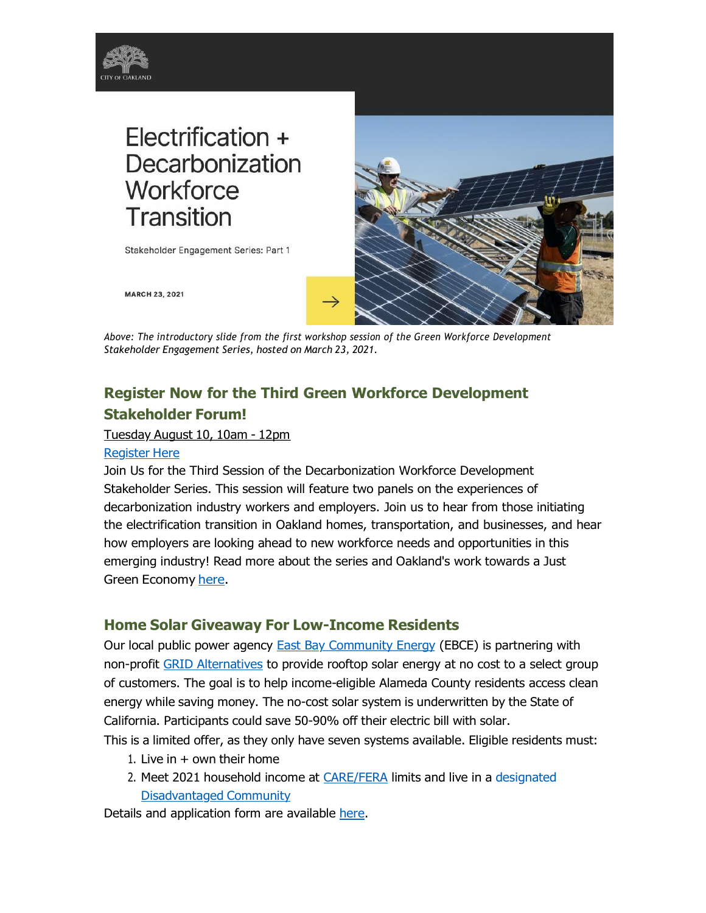

Stakeholder Engagement Series: Part 1



**MARCH 23, 2021** 

*Above: The introductory slide from the first workshop session of the Green Workforce Development Stakeholder Engagement Series, hosted on March 23, 2021.*

### **Register Now for the Third Green Workforce Development Stakeholder Forum!**

#### Tuesday August 10, 10am - 12pm

#### [Register](https://oaklandca19202.lt.acemlna.com/Prod/link-tracker?notrack=1&redirectUrl=aHR0cHMlM0ElMkYlMkZ1czAyd2ViLnpvb20udXMlMkZtZWV0aW5nJTJGcmVnaXN0ZXIlMkZ0Wll0Y3V5cXFEZ3BITklNcEY3d2VZUzlYTGVoNHUxTFRZLVQ%3D&sig=DC7aAtj8MkrUuqgBMJ1vbZGshkZwJmangqjXtTBpkmzp&iat=1632344181&a=799335011&account=oaklandca19202%2Eactivehosted%2Ecom&email=LRRV6glqIfcVPcYsJBrMHi%2FZD%2BmsUFpJrc5fHf6IoVE%3D&s=bad97c655476f96a390a72c05a742011&i=893A884A11A14588) Here

Join Us for the Third Session of the Decarbonization Workforce Development Stakeholder Series. This session will feature two panels on the experiences of decarbonization industry workers and employers. Join us to hear from those initiating the electrification transition in Oakland homes, transportation, and businesses, and hear how employers are looking ahead to new workforce needs and opportunities in this emerging industry! Read more about the series and Oakland's work towards a Just Green Economy [here.](https://oaklandca19202.lt.acemlna.com/Prod/link-tracker?notrack=1&redirectUrl=aHR0cHMlM0ElMkYlMkZ3d3cub2FrbGFuZGNhLmdvdiUyRnByb2plY3RzJTJGdG93YXJkLWEtanVzdC1ncmVlbi1lY29ub215&sig=7RsXF954UA8t4ucTj3YbcHRgpHN7mV1PgkyfxN6omxow&iat=1632344181&a=799335011&account=oaklandca19202%2Eactivehosted%2Ecom&email=LRRV6glqIfcVPcYsJBrMHi%2FZD%2BmsUFpJrc5fHf6IoVE%3D&s=bad97c655476f96a390a72c05a742011&i=893A884A11A14422)

#### **Home Solar Giveaway For Low-Income Residents**

Our local public power agency **East Bay Community Energy** (EBCE) is partnering with non-profit [GRID Alternatives](https://oaklandca19202.lt.acemlna.com/Prod/link-tracker?notrack=1&redirectUrl=aHR0cHMlM0ElMkYlMkZ1cmxkZWZlbnNlLnByb29mcG9pbnQuY29tJTJGdjIlMkZ1cmwlM0Z1JTNEaHR0cHMtM0FfX29ha2xhbmRjYTE5MjAyLmx0LmFjZW1sbmEuY29tX1Byb2RfbGluay0yRHRyYWNrZXItM0Zub3RyYWNrLTNEMS0yNnJlZGlyZWN0VXJsLTNEYUhSMGNITWxNMEVsTWtZbE1rWm5jbWxrWVd4MFpYSnVZWFJwZG1WekxtOXlady0zRC0zRC0yNmEtM0Q3OTkzMzUwMTEtMjZhY2NvdW50LTNEb2FrbGFuZGNhMTkyMDItMjUyRWFjdGl2ZWhvc3RlZC0yNTJFY29tLTI2ZW1haWwtM0Q3YXdyby0yNTJGMERNeHNwYnlzTGMzZHNHSlVWdjZTMHVSRHFkWkJNd2I4U3Exay0yNTNELTI2cy0zRGY1ZWIyZTUxZjg5NGM0YTFkZGNiNGZmY2U0MGExYTk1LTI2aS0zRDg5M0E4ODRBMTFBMTQ0MjUlMjZkJTNERHdNRmFRJTI2YyUzRDZaYm9LZEp6UjhuWk9xd0JqaFBuQ3clMjZyJTNEak4yVzdyQThWNEpSM3oyR0YyeGk3QVRWaTZTdV9Gay1UV3VvZFEzN25TUSUyNm0lM0RZV0lud2ZfZGFmZXhrUHhUbUg2cjJxMktFZE9fYmg0eTJtNl9Ea0pvbGE0JTI2cyUzRG9ncUY4TjVSQUJvOTBRR0xRODJQNWRZNlRncFFaem1uODFMUXdIWXBQM0UlMjZlJTNE&sig=AEeVJy9HfDe22qL4TkPjfhSvqTyNePTdz645stVz9rju&iat=1632344181&a=799335011&account=oaklandca19202%2Eactivehosted%2Ecom&email=LRRV6glqIfcVPcYsJBrMHi%2FZD%2BmsUFpJrc5fHf6IoVE%3D&s=bad97c655476f96a390a72c05a742011&i=893A884A11A14447) to provide rooftop solar energy at no cost to a select group of customers. The goal is to help income-eligible Alameda County residents access clean energy while saving money. The no-cost solar system is underwritten by the State of California. Participants could save 50-90% off their electric bill with solar.

This is a limited offer, as they only have seven systems available. Eligible residents must:

- 1. Live in  $+$  own their home
- 2. Meet 2021 household income at [CARE/FERA](https://oaklandca19202.lt.acemlna.com/Prod/link-tracker?notrack=1&redirectUrl=aHR0cHMlM0ElMkYlMkZ1cmxkZWZlbnNlLnByb29mcG9pbnQuY29tJTJGdjIlMkZ1cmwlM0Z1JTNEaHR0cHMtM0FfX29ha2xhbmRjYTE5MjAyLmx0LmFjZW1sbmEuY29tX1Byb2RfbGluay0yRHRyYWNrZXItM0Zub3RyYWNrLTNEMS0yNnJlZGlyZWN0VXJsLTNEYUhSMGNITWxNMEVsTWtZbE1rWjFjbXhrWldabGJuTmxMbkJ5YjI5bWNHOXBiblF1WTI5dEpUSkdkaklsTWtaMWNtd2xNMFoxSlRORWFIUjBjSE10TTBGZlgzZDNkeTVuYjI5bmJHVXVZMjl0WDIxaGNITmZaRjkyYVdWM1pYSXRNMFp0YVdRdE0wUXhVRlpvWlVGVGNsRkVkVk15WVhSSFkyUXROVVprVjNsTlpXNVhRV3QyTWxoUWNDMHlOblZ6Y0MwelJITm9ZWEpwYm1jbE1qWmtKVE5FUkhkTlJtRlJKVEkyWXlVelJEWmFZbTlMWkVwNlVqaHVXazl4ZDBKcWFGQnVRM2NsTWpaeUpUTkVhazR5VnpkeVFUaFdORXBTTTNveVIwWXllR2szUVZSV2FUWlRkVjlHYXkxVVYzVnZaRkV6TjI1VFVTVXlObTBsTTBRMGNWUlJOVk50TW5Wb1ZETlFMVTlqV1Vkek1rWldRV1V6VDFKMlVHb3hTa2RYU2paeFNGWkVOVnBSSlRJMmN5VXpSSGhZT1hOZk4wTTRUVFUwY0hCb1NGaEZTVGROZVhGSFpVUlRZVkowWkhsRlJESTNVVU40YjNCTVZWVWxNalpsSlRORS0yNmEtM0Q3OTkzMzUwMTEtMjZhY2NvdW50LTNEb2FrbGFuZGNhMTkyMDItMjUyRWFjdGl2ZWhvc3RlZC0yNTJFY29tLTI2ZW1haWwtM0Q3YXdyby0yNTJGMERNeHNwYnlzTGMzZHNHSlVWdjZTMHVSRHFkWkJNd2I4U3Exay0yNTNELTI2cy0zRGY1ZWIyZTUxZjg5NGM0YTFkZGNiNGZmY2U0MGExYTk1LTI2aS0zRDg5M0E4ODRBMTFBMTQ0MjclMjZkJTNERHdNRmFRJTI2YyUzRDZaYm9LZEp6UjhuWk9xd0JqaFBuQ3clMjZyJTNEak4yVzdyQThWNEpSM3oyR0YyeGk3QVRWaTZTdV9Gay1UV3VvZFEzN25TUSUyNm0lM0RZV0lud2ZfZGFmZXhrUHhUbUg2cjJxMktFZE9fYmg0eTJtNl9Ea0pvbGE0JTI2cyUzRE9tMFBwdGFNZDhHSTZxVl92VE1PLVdVR0pkRjlkNzhwNVgxR2hjMGRoRmMlMjZlJTNE&sig=5bmYpVpNWYj32W7rcwfcXzhVRVGTwUJAMm2HYKhqh3w8&iat=1632344181&a=799335011&account=oaklandca19202%2Eactivehosted%2Ecom&email=LRRV6glqIfcVPcYsJBrMHi%2FZD%2BmsUFpJrc5fHf6IoVE%3D&s=bad97c655476f96a390a72c05a742011&i=893A884A11A14449) limits and live in a designated [Disadvantaged](https://oaklandca19202.lt.acemlna.com/Prod/link-tracker?notrack=1&redirectUrl=aHR0cHMlM0ElMkYlMkZ1cmxkZWZlbnNlLnByb29mcG9pbnQuY29tJTJGdjIlMkZ1cmwlM0Z1JTNEaHR0cHMtM0FfX29ha2xhbmRjYTE5MjAyLmx0LmFjZW1sbmEuY29tX1Byb2RfbGluay0yRHRyYWNrZXItM0Zub3RyYWNrLTNEMS0yNnJlZGlyZWN0VXJsLTNEYUhSMGNITWxNMEVsTWtZbE1rWjFjbXhrWldabGJuTmxMbkJ5YjI5bWNHOXBiblF1WTI5dEpUSkdkaklsTWtaMWNtd2xNMFoxSlRORWFIUjBjSE10TTBGZlgzZDNkeTVuYjI5bmJHVXVZMjl0WDIxaGNITmZaRjkyYVdWM1pYSXRNMFp0YVdRdE0wUXhVRlpvWlVGVGNsRkVkVk15WVhSSFkyUXROVVprVjNsTlpXNVhRV3QyTWxoUWNDMHlOblZ6Y0MwelJITm9ZWEpwYm1jbE1qWmtKVE5FUkhkTlJtRlJKVEkyWXlVelJEWmFZbTlMWkVwNlVqaHVXazl4ZDBKcWFGQnVRM2NsTWpaeUpUTkVhazR5VnpkeVFUaFdORXBTTTNveVIwWXllR2szUVZSV2FUWlRkVjlHYXkxVVYzVnZaRkV6TjI1VFVTVXlObTBsTTBRMGNWUlJOVk50TW5Wb1ZETlFMVTlqV1Vkek1rWldRV1V6VDFKMlVHb3hTa2RYU2paeFNGWkVOVnBSSlRJMmN5VXpSSGhZT1hOZk4wTTRUVFUwY0hCb1NGaEZTVGROZVhGSFpVUlRZVkowWkhsRlJESTNVVU40YjNCTVZWVWxNalpsSlRORS0yNmEtM0Q3OTkzMzUwMTEtMjZhY2NvdW50LTNEb2FrbGFuZGNhMTkyMDItMjUyRWFjdGl2ZWhvc3RlZC0yNTJFY29tLTI2ZW1haWwtM0Q3YXdyby0yNTJGMERNeHNwYnlzTGMzZHNHSlVWdjZTMHVSRHFkWkJNd2I4U3Exay0yNTNELTI2cy0zRGY1ZWIyZTUxZjg5NGM0YTFkZGNiNGZmY2U0MGExYTk1LTI2aS0zRDg5M0E4ODRBMTFBMTQ0MjclMjZkJTNERHdNRmFRJTI2YyUzRDZaYm9LZEp6UjhuWk9xd0JqaFBuQ3clMjZyJTNEak4yVzdyQThWNEpSM3oyR0YyeGk3QVRWaTZTdV9Gay1UV3VvZFEzN25TUSUyNm0lM0RZV0lud2ZfZGFmZXhrUHhUbUg2cjJxMktFZE9fYmg0eTJtNl9Ea0pvbGE0JTI2cyUzRE9tMFBwdGFNZDhHSTZxVl92VE1PLVdVR0pkRjlkNzhwNVgxR2hjMGRoRmMlMjZlJTNE&sig=5bmYpVpNWYj32W7rcwfcXzhVRVGTwUJAMm2HYKhqh3w8&iat=1632344181&a=799335011&account=oaklandca19202%2Eactivehosted%2Ecom&email=LRRV6glqIfcVPcYsJBrMHi%2FZD%2BmsUFpJrc5fHf6IoVE%3D&s=bad97c655476f96a390a72c05a742011&i=893A884A11A14449) Community

Details and application form are available [here.](https://oaklandca19202.lt.acemlna.com/Prod/link-tracker?notrack=1&redirectUrl=aHR0cHMlM0ElMkYlMkZ1cmxkZWZlbnNlLnByb29mcG9pbnQuY29tJTJGdjIlMkZ1cmwlM0Z1JTNEaHR0cHMtM0FfX29ha2xhbmRjYTE5MjAyLmx0LmFjZW1sbmEuY29tX1Byb2RfbGluay0yRHRyYWNrZXItM0Zub3RyYWNrLTNEMS0yNnJlZGlyZWN0VXJsLTNEYUhSMGNITWxNMEVsTWtZbE1rWmtiMk56TG1kdmIyZHNaUzVqYjIwbE1rWm1iM0p0Y3lVeVJtUWxNa1psSlRKR01VWkJTWEJSVEZOalRVdHJVVmQxWlRsT01VNUlZVmhJZHpKRE1FazRlVlYwWTFkT2RqaDVlR0p0WkMxbFQydE9aMTlxVjFWWU1rRWxNa1oyYVdWM1ptOXliUS0zRC0zRC0yNmEtM0Q3OTkzMzUwMTEtMjZhY2NvdW50LTNEb2FrbGFuZGNhMTkyMDItMjUyRWFjdGl2ZWhvc3RlZC0yNTJFY29tLTI2ZW1haWwtM0Q3YXdyby0yNTJGMERNeHNwYnlzTGMzZHNHSlVWdjZTMHVSRHFkWkJNd2I4U3Exay0yNTNELTI2cy0zRGY1ZWIyZTUxZjg5NGM0YTFkZGNiNGZmY2U0MGExYTk1LTI2aS0zRDg5M0E4ODRBMTFBMTQ0MjglMjZkJTNERHdNRmFRJTI2YyUzRDZaYm9LZEp6UjhuWk9xd0JqaFBuQ3clMjZyJTNEak4yVzdyQThWNEpSM3oyR0YyeGk3QVRWaTZTdV9Gay1UV3VvZFEzN25TUSUyNm0lM0RZV0lud2ZfZGFmZXhrUHhUbUg2cjJxMktFZE9fYmg0eTJtNl9Ea0pvbGE0JTI2cyUzRGhSSm1PZnF4LXY2SnhIdmd6NnM5ZDhBWmJzX2V3elpXZGFnZ2hpYVdYcm8lMjZlJTNE&sig=9uUWbrgtFMYzzn56UrfzEgUTaxPZ535jQQXzPkeVSTMM&iat=1632344181&a=799335011&account=oaklandca19202%2Eactivehosted%2Ecom&email=LRRV6glqIfcVPcYsJBrMHi%2FZD%2BmsUFpJrc5fHf6IoVE%3D&s=bad97c655476f96a390a72c05a742011&i=893A884A11A14450)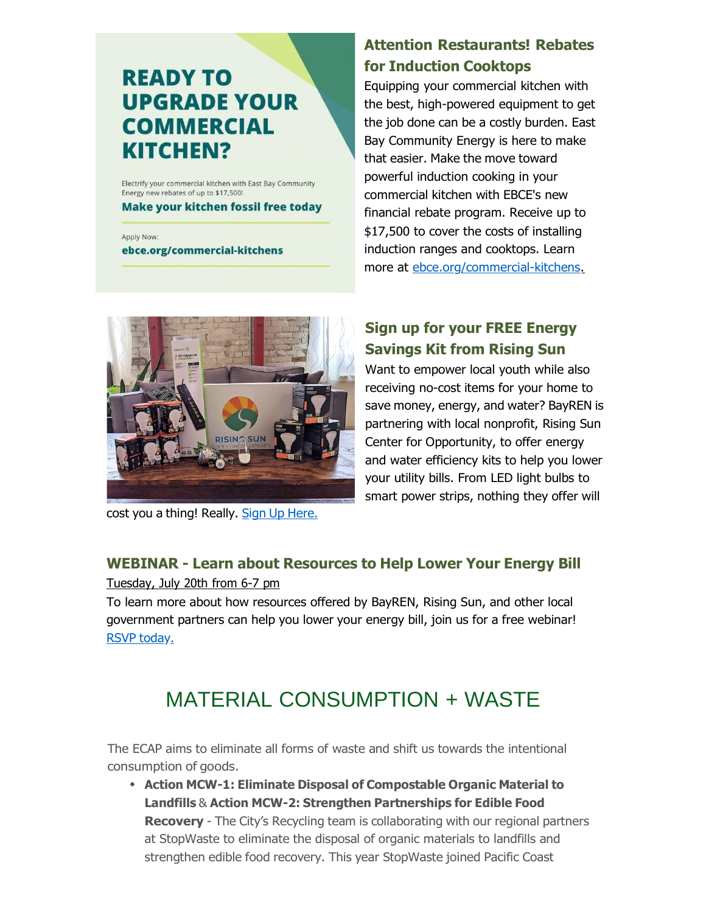# **READY TO UPGRADE YOUR COMMERCIAL KITCHEN?**

Electrify your commercial kitchen with East Bay Community Energy new rebates of up to \$17,500!

**Make your kitchen fossil free today** 

Apply Now: ebce.org/commercial-kitchens

### **Attention Restaurants! Rebates for Induction Cooktops**

Equipping your commercial kitchen with the best, high-powered equipment to get the job done can be a costly burden. East Bay Community Energy is here to make that easier. Make the move toward powerful induction cooking in your commercial kitchen with EBCE's new financial rebate program. Receive up to \$17,500 to cover the costs of installing induction ranges and cooktops. Learn more at [ebce.org/commercial-kitchens.](https://oaklandca19202.lt.acemlna.com/Prod/link-tracker?notrack=1&redirectUrl=aHR0cHMlM0ElMkYlMkZlYmNlLm9yZyUyRmNvbW1lcmNpYWwta2l0Y2hlbnMlMkY%3D&sig=64SBEXvVJ4exdw5wHhjU1daGMM5mDtf5uvgMLUh524YT&iat=1632344181&a=799335011&account=oaklandca19202%2Eactivehosted%2Ecom&email=LRRV6glqIfcVPcYsJBrMHi%2FZD%2BmsUFpJrc5fHf6IoVE%3D&s=bad97c655476f96a390a72c05a742011&i=893A884A11A14423)



cost you a thing! Really. Sign Up [Here.](https://oaklandca19202.lt.acemlna.com/Prod/link-tracker?notrack=1&redirectUrl=aHR0cHMlM0ElMkYlMkZyaXNpbmdzdW5vcHAub3JnJTJGcHJvZ3JhbXMlMkZnaGMlMkY%3D&sig=E38c4FVrzPQxbd25oWQq9u4onzFjeYeiy9kFbTvhVMYT&iat=1632344181&a=799335011&account=oaklandca19202%2Eactivehosted%2Ecom&email=LRRV6glqIfcVPcYsJBrMHi%2FZD%2BmsUFpJrc5fHf6IoVE%3D&s=bad97c655476f96a390a72c05a742011&i=893A884A11A14442)

### **Sign up for your FREE Energy Savings Kit from Rising Sun**

Want to empower local youth while also receiving no-cost items for your home to save money, energy, and water? BayREN is partnering with local nonprofit, Rising Sun Center for Opportunity, to offer energy and water efficiency kits to help you lower your utility bills. From LED light bulbs to smart power strips, nothing they offer will

### **WEBINAR - Learn about Resources to Help Lower Your Energy Bill**

Tuesday, July 20th from 6-7 pm

To learn more about how resources offered by BayREN, Rising Sun, and other local government partners can help you lower your energy bill, join us for a free webinar! RSVP [today.](https://oaklandca19202.lt.acemlna.com/Prod/link-tracker?notrack=1&redirectUrl=aHR0cCUzQSUyRiUyRnd3dy5FYXN0QmF5RW5lcmd5QmlsbC5ldmVudGJyaXRlLmNvbQ%3D%3D&sig=CuT7TeAgDcyWxUPuNGz9rcNJi8ia5MChtkunMK1Ksrn6&iat=1632344181&a=799335011&account=oaklandca19202%2Eactivehosted%2Ecom&email=LRRV6glqIfcVPcYsJBrMHi%2FZD%2BmsUFpJrc5fHf6IoVE%3D&s=bad97c655476f96a390a72c05a742011&i=893A884A11A14443)

# MATERIAL CONSUMPTION + WASTE

The ECAP aims to eliminate all forms of waste and shift us towards the intentional consumption of goods.

**Action MCW-1: Eliminate Disposal of Compostable Organic Material to Landfills** & **Action MCW-2: Strengthen Partnerships for Edible Food Recovery** - The City's Recycling team is collaborating with our regional partners at StopWaste to eliminate the disposal of organic materials to landfills and strengthen edible food recovery. This year StopWaste joined Pacific Coast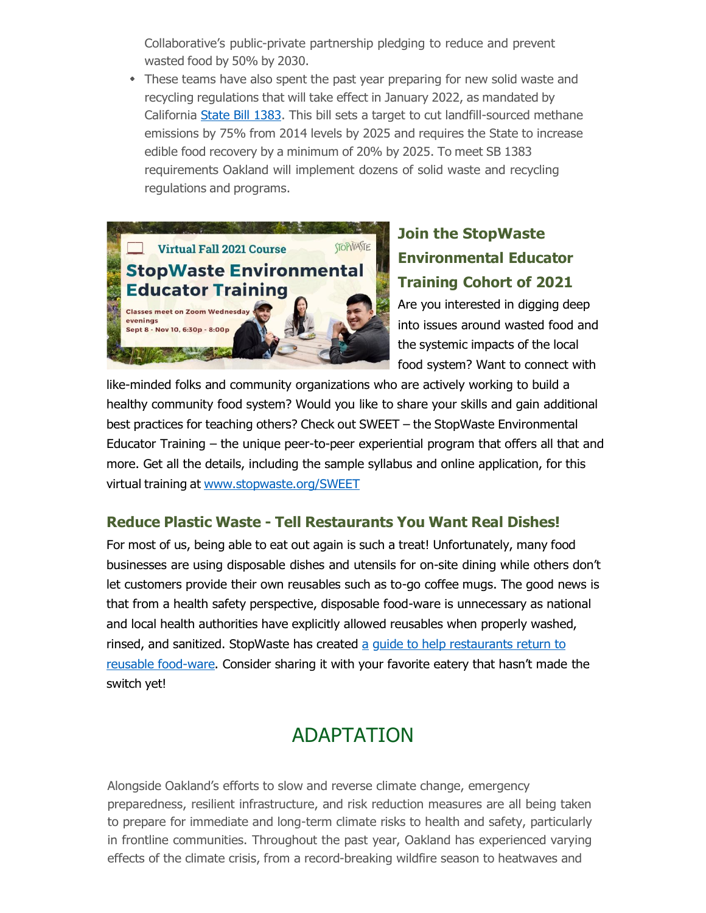Collaborative's public-private partnership pledging to reduce and prevent wasted food by 50% by 2030.

These teams have also spent the past year preparing for new solid waste and recycling regulations that will take effect in January 2022, as mandated by California State Bill [1383.](https://oaklandca19202.lt.acemlna.com/Prod/link-tracker?notrack=1&redirectUrl=aHR0cHMlM0ElMkYlMkZ3d3cuc3RvcHdhc3RlLm9yZyUyRnJlc291cmNlJTJGc2ItMTM4My1hbm51YWwtcHJvY3VyZW1lbnQtcmVxdWlyZW1lbnRzLWphbnVhcnktMjAyMQ%3D%3D&sig=5SXRJUPVkeNgMkEgSNKkuHXp6EfXLEQD169X3ufX4Wg9&iat=1632344181&a=799335011&account=oaklandca19202%2Eactivehosted%2Ecom&email=LRRV6glqIfcVPcYsJBrMHi%2FZD%2BmsUFpJrc5fHf6IoVE%3D&s=bad97c655476f96a390a72c05a742011&i=893A884A11A14429) This bill sets a target to cut landfill-sourced methane emissions by 75% from 2014 levels by 2025 and requires the State to increase edible food recovery by a minimum of 20% by 2025. To meet SB 1383 requirements Oakland will implement dozens of solid waste and recycling regulations and programs.



### **Join the StopWaste Environmental Educator Training Cohort of 2021**

Are you interested in digging deep into issues around wasted food and the systemic impacts of the local food system? Want to connect with

like-minded folks and community organizations who are actively working to build a healthy community food system? Would you like to share your skills and gain additional best practices for teaching others? Check out SWEET – the StopWaste Environmental Educator Training – the unique peer-to-peer experiential program that offers all that and more. Get all the details, including the sample syllabus and online application, for this virtual training at [www.stopwaste.org/SWEET](https://oaklandca19202.lt.acemlna.com/Prod/link-tracker?notrack=1&redirectUrl=aHR0cHMlM0ElMkYlMkZ1cmxkZWZlbnNlLnByb29mcG9pbnQuY29tJTJGdjIlMkZ1cmwlM0Z1JTNEaHR0cC0zQV9fd3d3LnN0b3B3YXN0ZS5vcmdfU1dFRVQlMjZkJTNERHdNRkFnJTI2YyUzRDZaYm9LZEp6UjhuWk9xd0JqaFBuQ3clMjZyJTNEak4yVzdyQThWNEpSM3oyR0YyeGk3QVRWaTZTdV9Gay1UV3VvZFEzN25TUSUyNm0lM0RiQ21weWRBOTI0c2hseDU0d0pVekZfNWFoRVJFMWNwYnBmVzNMRTJ3VVdVJTI2cyUzRDJtbUNwM3J5WmgtY29fY2RZZmRvVVV5X0E4clRMOEVWLXhRWE1oZWJGTFElMjZlJTNE&sig=CheaDTXPv5VdBSsiaS4jByrZ8RXUC8PXWcMyfdeskCdn&iat=1632344181&a=799335011&account=oaklandca19202%2Eactivehosted%2Ecom&email=LRRV6glqIfcVPcYsJBrMHi%2FZD%2BmsUFpJrc5fHf6IoVE%3D&s=bad97c655476f96a390a72c05a742011&i=893A884A11A14188)

#### **Reduce Plastic Waste - Tell Restaurants You Want Real Dishes!**

For most of us, being able to eat out again is such a treat! Unfortunately, many food businesses are using disposable dishes and utensils for on-site dining while others don't let customers provide their own reusables such as to-go coffee mugs. The good news is that from a health safety perspective, disposable food-ware is unnecessary as national and local health authorities have explicitly allowed reusables when properly washed, rinsed, and sanitized. StopWaste has created a guide to help [restaurants](https://oaklandca19202.lt.acemlna.com/Prod/link-tracker?notrack=1&redirectUrl=aHR0cCUzQSUyRiUyRnd3dy5zdG9wd2FzdGUub3JnJTJGcmV1c2FibGVmb29kd2FyZXNhZmV0eQ%3D%3D&sig=4MkZdzQjpM56uduYoDy24JeDrKScZRhcPkSSYryuoMBk&iat=1632344181&a=799335011&account=oaklandca19202%2Eactivehosted%2Ecom&email=LRRV6glqIfcVPcYsJBrMHi%2FZD%2BmsUFpJrc5fHf6IoVE%3D&s=bad97c655476f96a390a72c05a742011&i=893A884A11A14430) return to reusable food-ware[. Consider sharing it with your favorite eatery that hasn't made](https://oaklandca19202.lt.acemlna.com/Prod/link-tracker?notrack=1&redirectUrl=aHR0cCUzQSUyRiUyRnd3dy5zdG9wd2FzdGUub3JnJTJGcmV1c2FibGVmb29kd2FyZXNhZmV0eQ%3D%3D&sig=4MkZdzQjpM56uduYoDy24JeDrKScZRhcPkSSYryuoMBk&iat=1632344181&a=799335011&account=oaklandca19202%2Eactivehosted%2Ecom&email=LRRV6glqIfcVPcYsJBrMHi%2FZD%2BmsUFpJrc5fHf6IoVE%3D&s=bad97c655476f96a390a72c05a742011&i=893A884A11A14430) the switch yet!

# ADAPTATION

Alongside Oakland's efforts to slow and reverse climate change, emergency preparedness, resilient infrastructure, and risk reduction measures are all being taken to prepare for immediate and long-term climate risks to health and safety, particularly in frontline communities. Throughout the past year, Oakland has experienced varying effects of the climate crisis, from a record-breaking wildfire season to heatwaves and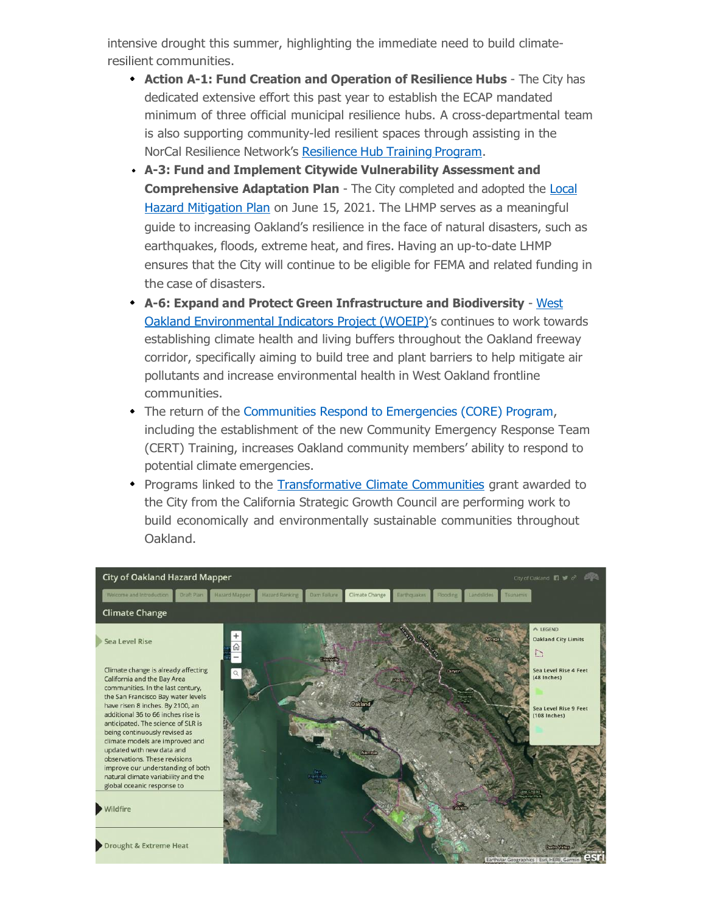intensive drought this summer, highlighting the immediate need to build climateresilient communities.

- **Action A-1: Fund Creation and Operation of Resilience Hubs**  The City has dedicated extensive effort this past year to establish the ECAP mandated minimum of three official municipal resilience hubs. A cross-departmental team is also supporting community-led resilient spaces through assisting in the NorCal Resilience Network's [Resilience](https://oaklandca19202.lt.acemlna.com/Prod/link-tracker?notrack=1&redirectUrl=aHR0cHMlM0ElMkYlMkZub3JjYWxyZXNpbGllbmNlLm9yZyUyRnJlc2lsaWVudC1odWItaW5pdGlhdGl2ZSUyRg%3D%3D&sig=F554C389gM7mC1nJm19D2WNPt4iMyRBqTjF6KcHfDsEJ&iat=1632344181&a=799335011&account=oaklandca19202%2Eactivehosted%2Ecom&email=LRRV6glqIfcVPcYsJBrMHi%2FZD%2BmsUFpJrc5fHf6IoVE%3D&s=bad97c655476f96a390a72c05a742011&i=893A884A11A14431) Hub Training Program.
- **A-3: Fund and Implement Citywide Vulnerability Assessment and Comprehensive Adaptation Plan** - [The City completed and adopted the Local](https://oaklandca19202.lt.acemlna.com/Prod/link-tracker?notrack=1&redirectUrl=aHR0cHMlM0ElMkYlMkZ3d3cub2FrbGFuZGNhLmdvdiUyRnRvcGljcyUyRjIwMjEtbG9jYWwtaGF6YXJkLW1pdGlnYXRpb24tcGxhbg%3D%3D&sig=FeQaVjNpepxVJvhU4gF81SNjJYxMNEnvy3u9owhg1TSy&iat=1632344181&a=799335011&account=oaklandca19202%2Eactivehosted%2Ecom&email=LRRV6glqIfcVPcYsJBrMHi%2FZD%2BmsUFpJrc5fHf6IoVE%3D&s=bad97c655476f96a390a72c05a742011&i=893A884A11A14432) Hazard Mitigation Plan [on June 15, 2021. The LHMP serves as a meaningful](https://oaklandca19202.lt.acemlna.com/Prod/link-tracker?notrack=1&redirectUrl=aHR0cHMlM0ElMkYlMkZ3d3cub2FrbGFuZGNhLmdvdiUyRnRvcGljcyUyRjIwMjEtbG9jYWwtaGF6YXJkLW1pdGlnYXRpb24tcGxhbg%3D%3D&sig=FeQaVjNpepxVJvhU4gF81SNjJYxMNEnvy3u9owhg1TSy&iat=1632344181&a=799335011&account=oaklandca19202%2Eactivehosted%2Ecom&email=LRRV6glqIfcVPcYsJBrMHi%2FZD%2BmsUFpJrc5fHf6IoVE%3D&s=bad97c655476f96a390a72c05a742011&i=893A884A11A14432) guide to increasing Oakland's resilience in the face of natural disasters, such as earthquakes, floods, extreme heat, and fires. Having an up-to-date LHMP ensures that the City will continue to be eligible for FEMA and related funding in the case of disasters.
- **[A-6: Expand and Protect Green Infrastructure and Biodiversity](https://oaklandca19202.lt.acemlna.com/Prod/link-tracker?notrack=1&redirectUrl=aHR0cHMlM0ElMkYlMkZ3d3cub2FrbGFuZGNhLmdvdiUyRnRvcGljcyUyRndlc3Qtb2FrbGFuZC1jb21tdW5pdHktYWN0aW9uLXBsYW4tYWItNjE3&sig=2PMDEAbVERHj1AwoQJCcu3qTJUY8T1teA4ScvKJ49eW4&iat=1632344181&a=799335011&account=oaklandca19202%2Eactivehosted%2Ecom&email=LRRV6glqIfcVPcYsJBrMHi%2FZD%2BmsUFpJrc5fHf6IoVE%3D&s=bad97c655476f96a390a72c05a742011&i=893A884A11A14433)**  West Oakland [Environmental](https://oaklandca19202.lt.acemlna.com/Prod/link-tracker?notrack=1&redirectUrl=aHR0cHMlM0ElMkYlMkZ3d3cub2FrbGFuZGNhLmdvdiUyRnRvcGljcyUyRndlc3Qtb2FrbGFuZC1jb21tdW5pdHktYWN0aW9uLXBsYW4tYWItNjE3&sig=2PMDEAbVERHj1AwoQJCcu3qTJUY8T1teA4ScvKJ49eW4&iat=1632344181&a=799335011&account=oaklandca19202%2Eactivehosted%2Ecom&email=LRRV6glqIfcVPcYsJBrMHi%2FZD%2BmsUFpJrc5fHf6IoVE%3D&s=bad97c655476f96a390a72c05a742011&i=893A884A11A14433) Indicators Project (WOEIP)'s continues to work towards establishing climate health and living buffers throughout the Oakland freeway corridor, specifically aiming to build tree and plant barriers to help mitigate air pollutants and increase environmental health in West Oakland frontline communities.
- The return of the [Communities](https://oaklandca19202.lt.acemlna.com/Prod/link-tracker?notrack=1&redirectUrl=aHR0cHMlM0ElMkYlMkZ3d3cub2FrbGFuZGNhLmdvdiUyRnNlcnZpY2VzJTJGcmVhZHlvYWtsYW5k&sig=5zTWVa4BYQbpLQXN2U5gfuv7Xd3mzfBBjAad9GuBCjoo&iat=1632344181&a=799335011&account=oaklandca19202%2Eactivehosted%2Ecom&email=LRRV6glqIfcVPcYsJBrMHi%2FZD%2BmsUFpJrc5fHf6IoVE%3D&s=bad97c655476f96a390a72c05a742011&i=893A884A11A14103) Respond to Emergencies (CORE) Program, including the establishment of the new Community Emergency Response Team (CERT) Training, increases Oakland community members' ability to respond to potential climate emergencies.
- Programs linked to the [Transformative](https://oaklandca19202.lt.acemlna.com/Prod/link-tracker?notrack=1&redirectUrl=aHR0cHMlM0ElMkYlMkZ3d3cub2FrbGFuZGNhLmdvdiUyRnRvcGljcyUyRnRyYW5zZm9ybWF0aXZlLWNsaW1hdGUtY29tbXVuaXRpZXMtdGNjLWdyYW50&sig=6wqh2ZP6jia37CgTRQFfV5gaFvzmbhTXNqdCWYt2G2L9&iat=1632344181&a=799335011&account=oaklandca19202%2Eactivehosted%2Ecom&email=LRRV6glqIfcVPcYsJBrMHi%2FZD%2BmsUFpJrc5fHf6IoVE%3D&s=bad97c655476f96a390a72c05a742011&i=893A884A11A14434) Climate Communities grant awarded to the City from the California Strategic Growth Council are performing work to build economically and environmentally sustainable communities throughout Oakland.

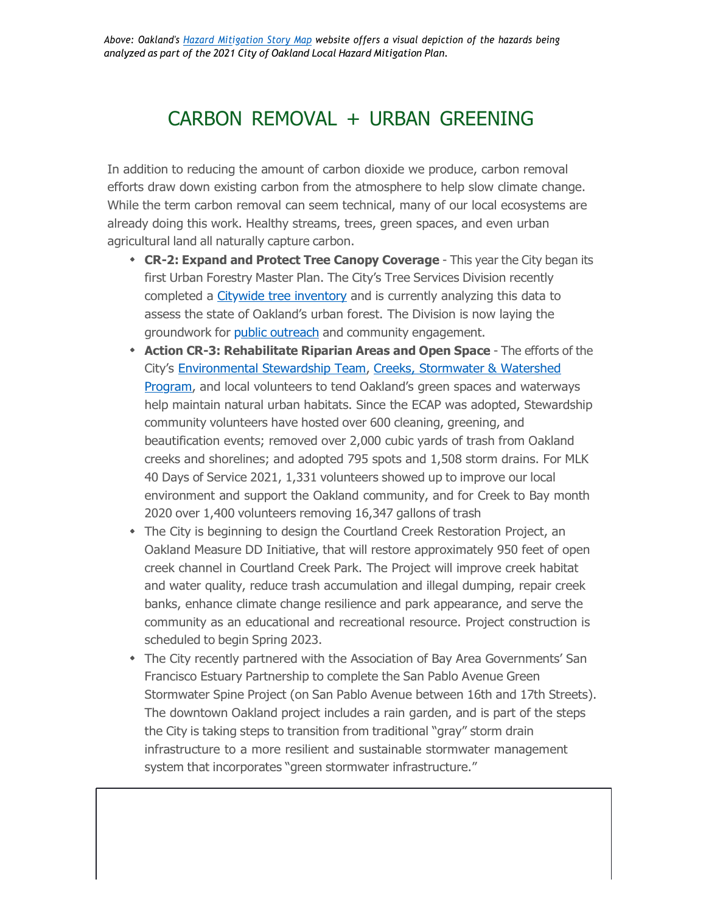### CARBON REMOVAL + URBAN GREENING

In addition to reducing the amount of carbon dioxide we produce, carbon removal efforts draw down existing carbon from the atmosphere to help slow climate change. While the term carbon removal can seem technical, many of our local ecosystems are already doing this work. Healthy streams, trees, green spaces, and even urban agricultural land all naturally capture carbon.

- **CR-2: Expand and Protect Tree Canopy Coverage** This year the City began its first Urban Forestry Master Plan. The City's Tree Services Division recently completed a [Citywide tree inventory](https://oaklandca19202.lt.acemlna.com/Prod/link-tracker?notrack=1&redirectUrl=aHR0cHMlM0ElMkYlMkZjYW8tOTQ2MTIuczMuYW1hem9uYXdzLmNvbSUyRmRvY3VtZW50cyUyRk9ha2xhbmQtTGFuZC1Db3Zlci1Bc3Nlc3NtZW50LTIwMjAxMTEwX0NsaWVudC1EZWxpdmVyeS5wZGY%3D&sig=EbWWCLWUYuoNQK4TEyDnbuSh4fDMr3fwQyGUH4QNYrDV&iat=1632344181&a=799335011&account=oaklandca19202%2Eactivehosted%2Ecom&email=LRRV6glqIfcVPcYsJBrMHi%2FZD%2BmsUFpJrc5fHf6IoVE%3D&s=bad97c655476f96a390a72c05a742011&i=893A884A11A14435) and is currently analyzing this data to assess the state of Oakland's urban forest. The Division is now laying the groundwork for public [outreach](https://oaklandca19202.lt.acemlna.com/Prod/link-tracker?notrack=1&redirectUrl=aHR0cHMlM0ElMkYlMkZ3d3cucHVibGljaW5wdXQuY29tJTJGT2FrbGFuZHRyZWVz&sig=8qNeQJjUHbsFMJzacbgbXEJpRnEmuwrvvXo9d7hhncQA&iat=1632344181&a=799335011&account=oaklandca19202%2Eactivehosted%2Ecom&email=LRRV6glqIfcVPcYsJBrMHi%2FZD%2BmsUFpJrc5fHf6IoVE%3D&s=bad97c655476f96a390a72c05a742011&i=893A884A11A14436) and community engagement.
- **Action CR-3: Rehabilitate Riparian Areas and Open Space** The efforts of the City's [Environmental Stewardship Team, Creeks, Stormwater & Watershed](https://oaklandca19202.lt.acemlna.com/Prod/link-tracker?notrack=1&redirectUrl=aHR0cHMlM0ElMkYlMkZ3d3cub2FrbGFuZGNhLmdvdiUyRnRvcGljcyUyRmNyZWVrcy13YXRlcnNoZWQtYW5kLXN0b3Jtd2F0ZXI%3D&sig=ByTPz9pmyxa9z1V84PPheoSRSt2vaARPcKs1Jnq2ZAds&iat=1632344181&a=799335011&account=oaklandca19202%2Eactivehosted%2Ecom&email=LRRV6glqIfcVPcYsJBrMHi%2FZD%2BmsUFpJrc5fHf6IoVE%3D&s=bad97c655476f96a390a72c05a742011&i=893A884A11A14438) Program, and [local volunteers to tend Oakland's green spaces and](https://oaklandca19202.lt.acemlna.com/Prod/link-tracker?notrack=1&redirectUrl=aHR0cHMlM0ElMkYlMkZ3d3cub2FrbGFuZGNhLmdvdiUyRnRvcGljcyUyRmNyZWVrcy13YXRlcnNoZWQtYW5kLXN0b3Jtd2F0ZXI%3D&sig=ByTPz9pmyxa9z1V84PPheoSRSt2vaARPcKs1Jnq2ZAds&iat=1632344181&a=799335011&account=oaklandca19202%2Eactivehosted%2Ecom&email=LRRV6glqIfcVPcYsJBrMHi%2FZD%2BmsUFpJrc5fHf6IoVE%3D&s=bad97c655476f96a390a72c05a742011&i=893A884A11A14438) waterways help maintain natural urban habitats. Since the ECAP was adopted, Stewardship community volunteers have hosted over 600 cleaning, greening, and beautification events; removed over 2,000 cubic yards of trash from Oakland creeks and shorelines; and adopted 795 spots and 1,508 storm drains. For MLK 40 Days of Service 2021, 1,331 volunteers showed up to improve our local environment and support the Oakland community, and for Creek to Bay month 2020 over 1,400 volunteers removing 16,347 gallons of trash
- The City is beginning to design the Courtland Creek Restoration Project, an Oakland Measure DD Initiative, that will restore approximately 950 feet of open creek channel in Courtland Creek Park. The Project will improve creek habitat and water quality, reduce trash accumulation and illegal dumping, repair creek banks, enhance climate change resilience and park appearance, and serve the community as an educational and recreational resource. Project construction is scheduled to begin Spring 2023.
- The City recently partnered with the Association of Bay Area Governments' San Francisco Estuary Partnership to complete the San Pablo Avenue Green Stormwater Spine Project (on San Pablo Avenue between 16th and 17th Streets). The downtown Oakland project includes a rain garden, and is part of the steps the City is taking steps to transition from traditional "gray" storm drain infrastructure to a more resilient and sustainable stormwater management system that incorporates "green stormwater infrastructure."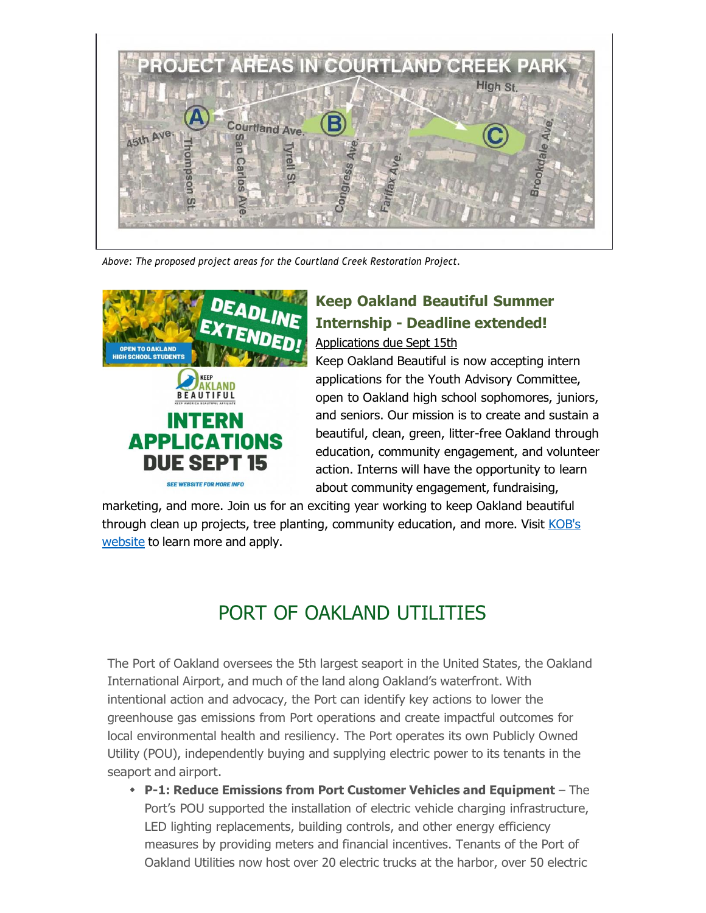

*Above: The proposed project areas for the Courtland Creek Restoration Project.*



# **Keep Oakland Beautiful Summer Internship - Deadline extended!**

Applications due Sept 15th

Keep Oakland Beautiful is now accepting intern applications for the Youth Advisory Committee, open to Oakland high school sophomores, juniors, and seniors. Our mission is to create and sustain a beautiful, clean, green, litter-free Oakland through education, community engagement, and volunteer action. Interns will have the opportunity to learn about community engagement, fundraising,

marketing, and more. Join us for an exciting year working to keep Oakland beautiful through clean up projects, tree planting, [community](https://oaklandca19202.lt.acemlna.com/Prod/link-tracker?notrack=1&redirectUrl=aHR0cHMlM0ElMkYlMkZ3d3cua2VlcG9ha2xhbmRiZWF1dGlmdWwub3JnJTJGeW91dGgtYWR2aXNvcnktY29tbWl0dGVlLmh0bWw%3D&sig=9dRqU2CPtaW3ALv4juHiVxngMn15P2fvhF5nEBfweWtS&iat=1632344181&a=799335011&account=oaklandca19202%2Eactivehosted%2Ecom&email=LRRV6glqIfcVPcYsJBrMHi%2FZD%2BmsUFpJrc5fHf6IoVE%3D&s=bad97c655476f96a390a72c05a742011&i=893A884A11A14441) education, and more. Visit KOB's [website](https://oaklandca19202.lt.acemlna.com/Prod/link-tracker?notrack=1&redirectUrl=aHR0cHMlM0ElMkYlMkZ3d3cua2VlcG9ha2xhbmRiZWF1dGlmdWwub3JnJTJGeW91dGgtYWR2aXNvcnktY29tbWl0dGVlLmh0bWw%3D&sig=9dRqU2CPtaW3ALv4juHiVxngMn15P2fvhF5nEBfweWtS&iat=1632344181&a=799335011&account=oaklandca19202%2Eactivehosted%2Ecom&email=LRRV6glqIfcVPcYsJBrMHi%2FZD%2BmsUFpJrc5fHf6IoVE%3D&s=bad97c655476f96a390a72c05a742011&i=893A884A11A14441) to learn more and apply.

# PORT OF OAKLAND UTILITIES

The Port of Oakland oversees the 5th largest seaport in the United States, the Oakland International Airport, and much of the land along Oakland's waterfront. With intentional action and advocacy, the Port can identify key actions to lower the greenhouse gas emissions from Port operations and create impactful outcomes for local environmental health and resiliency. The Port operates its own Publicly Owned Utility (POU), independently buying and supplying electric power to its tenants in the seaport and airport.

**P-1: Reduce Emissions from Port Customer Vehicles and Equipment** – The Port's POU supported the installation of electric vehicle charging infrastructure, LED lighting replacements, building controls, and other energy efficiency measures by providing meters and financial incentives. Tenants of the Port of Oakland Utilities now host over 20 electric trucks at the harbor, over 50 electric